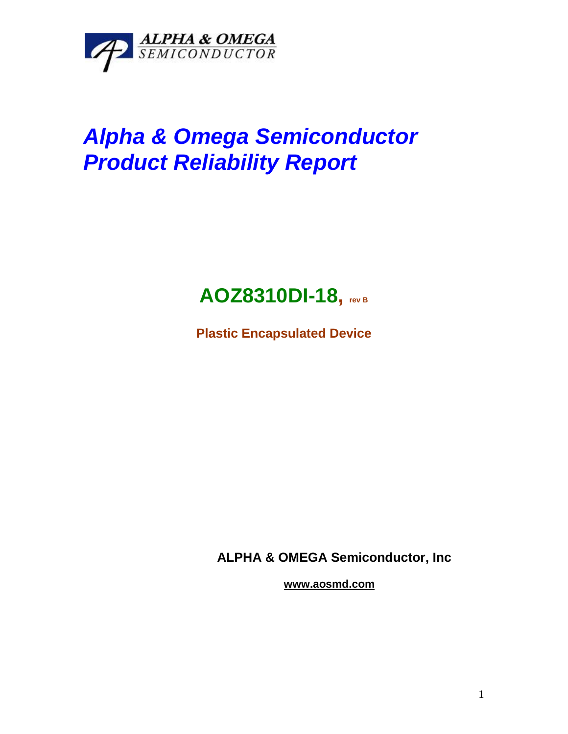

# *Alpha & Omega Semiconductor Product Reliability Report*

# **AOZ8310DI-18, rev <sup>B</sup>**

**Plastic Encapsulated Device**

**ALPHA & OMEGA Semiconductor, Inc**

**www.aosmd.com**